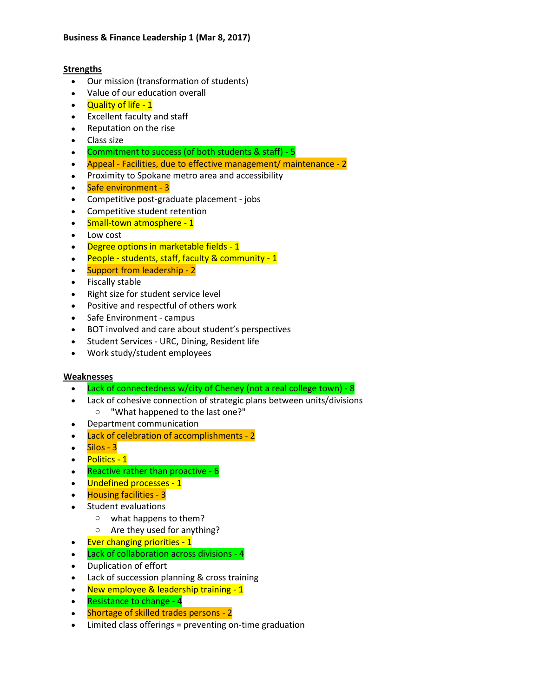## **Strengths**

- Our mission (transformation of students)
- Value of our education overall
- Quality of life 1
- Excellent faculty and staff
- Reputation on the rise
- Class size
- Commitment to success (of both students & staff) 5
- Appeal Facilities, due to effective management/ maintenance 2
- Proximity to Spokane metro area and accessibility
- Safe environment 3
- Competitive post-graduate placement jobs
- Competitive student retention
- Small-town atmosphere 1
- Low cost
- Degree options in marketable fields 1
- People students, staff, faculty & community 1
- Support from leadership 2
- Fiscally stable
- Right size for student service level
- Positive and respectful of others work
- Safe Environment campus
- BOT involved and care about student's perspectives
- Student Services URC, Dining, Resident life
- Work study/student employees

## **Weaknesses**

- Lack of connectedness w/city of Cheney (not a real college town) 8
- Lack of cohesive connection of strategic plans between units/divisions
	- o "What happened to the last one?"
- Department communication
- Lack of celebration of accomplishments 2
- $\bullet$  Silos 3
- Politics 1
- Reactive rather than proactive 6
- Undefined processes 1
- Housing facilities 3
- Student evaluations
	- o what happens to them?
	- o Are they used for anything?
- Ever changing priorities 1
- Lack of collaboration across divisions 4
- Duplication of effort
- Lack of succession planning & cross training
- New employee & leadership training 1
- Resistance to change 4
- Shortage of skilled trades persons 2
- Limited class offerings = preventing on-time graduation